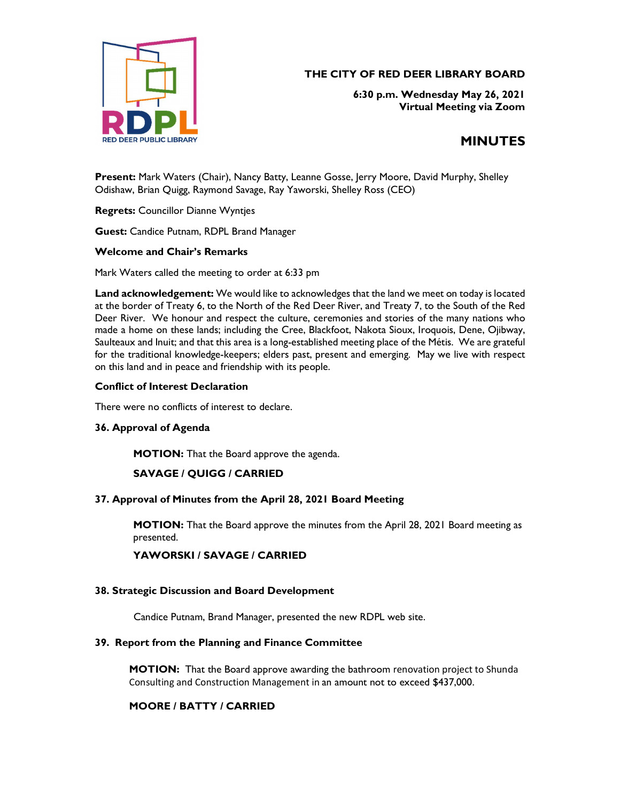

# THE CITY OF RED DEER LIBRARY BOARD

6:30 p.m. Wednesday May 26, 2021 Virtual Meeting via Zoom

# MINUTES

Present: Mark Waters (Chair), Nancy Batty, Leanne Gosse, Jerry Moore, David Murphy, Shelley Odishaw, Brian Quigg, Raymond Savage, Ray Yaworski, Shelley Ross (CEO)

Regrets: Councillor Dianne Wyntjes

Guest: Candice Putnam, RDPL Brand Manager

#### Welcome and Chair's Remarks

Mark Waters called the meeting to order at 6:33 pm

Land acknowledgement: We would like to acknowledges that the land we meet on today is located at the border of Treaty 6, to the North of the Red Deer River, and Treaty 7, to the South of the Red Deer River. We honour and respect the culture, ceremonies and stories of the many nations who made a home on these lands; including the Cree, Blackfoot, Nakota Sioux, Iroquois, Dene, Ojibway, Saulteaux and Inuit; and that this area is a long-established meeting place of the Métis. We are grateful for the traditional knowledge-keepers; elders past, present and emerging. May we live with respect on this land and in peace and friendship with its people.

#### Conflict of Interest Declaration

There were no conflicts of interest to declare.<br>**36. Approval of Agenda** 

MOTION: That the Board approve the agenda.

# SAVAGE / QUIGG / CARRIED

# 37. Approval of Minutes from the April 28, 2021 Board Meeting

MOTION: That the Board approve the minutes from the April 28, 2021 Board meeting as presented.

# YAWORSKI / SAVAGE / CARRIED

# 38. Strategic Discussion and Board Development

Candice Putnam, Brand Manager, presented the new RDPL web site.

#### 39. Report from the Planning and Finance Committee

MOTION: That the Board approve awarding the bathroom renovation project to Shunda Consulting and Construction Management in an amount not to exceed \$437,000.

# MOORE / BATTY / CARRIED